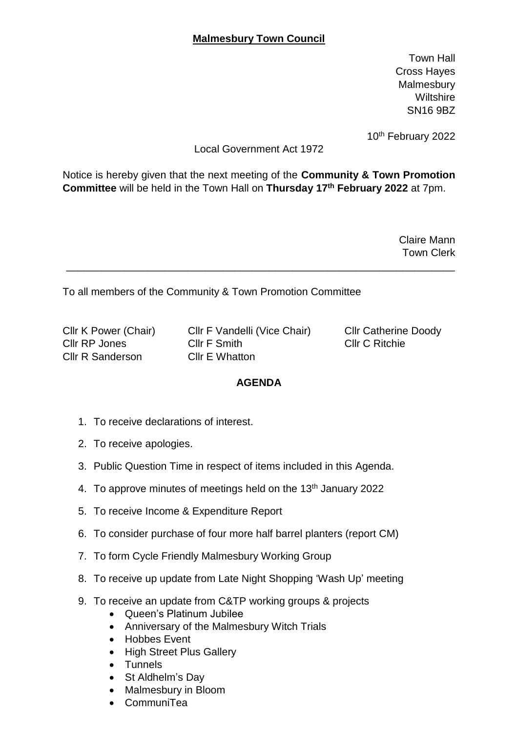## **Malmesbury Town Council**

Town Hall Cross Hayes **Malmesbury Wiltshire** SN16 9BZ

10th February 2022

## Local Government Act 1972

Notice is hereby given that the next meeting of the **Community & Town Promotion Committee** will be held in the Town Hall on **Thursday 17th February 2022** at 7pm.

\_\_\_\_\_\_\_\_\_\_\_\_\_\_\_\_\_\_\_\_\_\_\_\_\_\_\_\_\_\_\_\_\_\_\_\_\_\_\_\_\_\_\_\_\_\_\_\_\_\_\_\_\_\_\_\_\_\_\_\_\_\_\_\_\_\_\_

Claire Mann Town Clerk

To all members of the Community & Town Promotion Committee

Cllr R Sanderson Cllr E Whatton

Cllr K Power (Chair) Cllr F Vandelli (Vice Chair) Cllr Catherine Doody Cllr RP Jones Cllr F Smith Cllr C Ritchie

## **AGENDA**

- 1. To receive declarations of interest.
- 2. To receive apologies.
- 3. Public Question Time in respect of items included in this Agenda.
- 4. To approve minutes of meetings held on the 13<sup>th</sup> January 2022
- 5. To receive Income & Expenditure Report
- 6. To consider purchase of four more half barrel planters (report CM)
- 7. To form Cycle Friendly Malmesbury Working Group
- 8. To receive up update from Late Night Shopping 'Wash Up' meeting
- 9. To receive an update from C&TP working groups & projects
	- Queen's Platinum Jubilee
	- Anniversary of the Malmesbury Witch Trials
	- Hobbes Event
	- High Street Plus Gallery
	- Tunnels
	- St Aldhelm's Day
	- Malmesbury in Bloom
	- CommuniTea